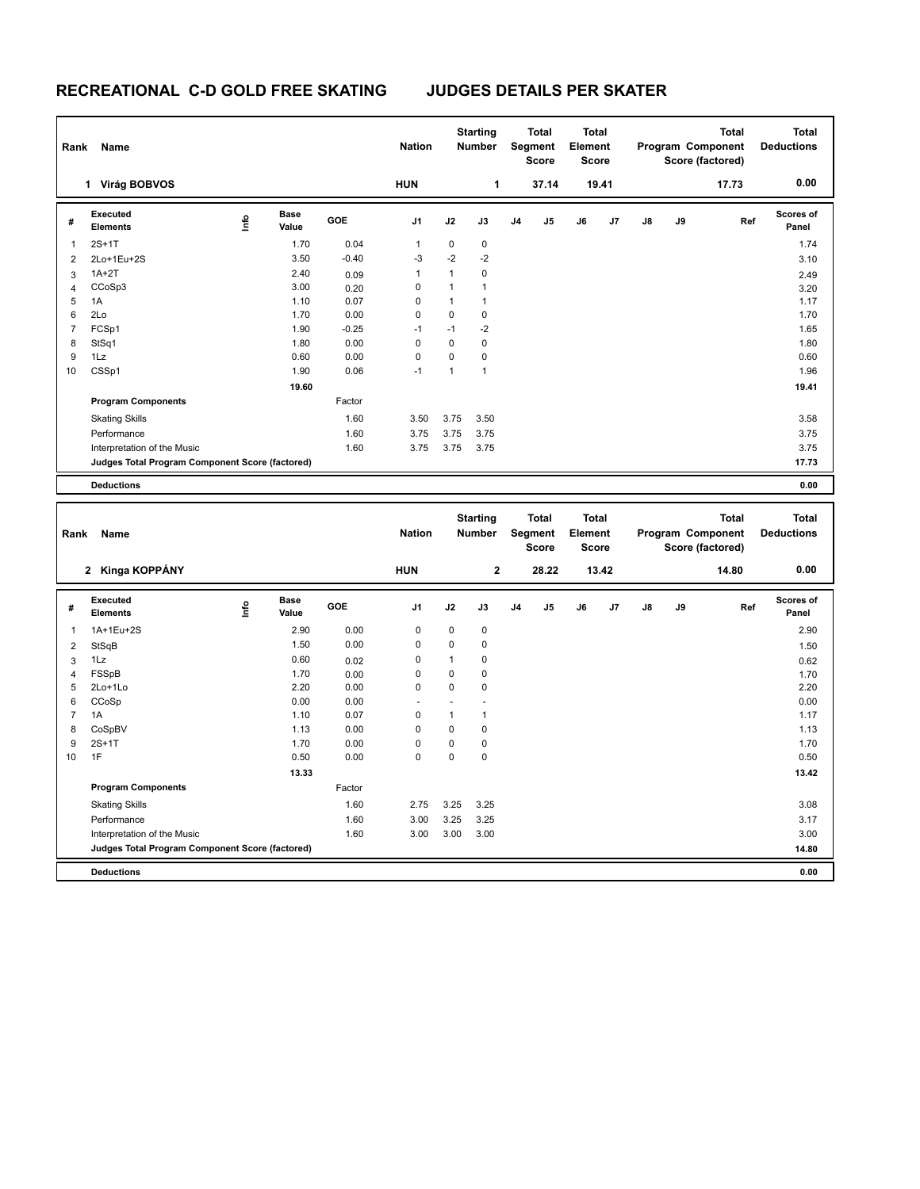| Rank           | Name                                                                        |      |                      |         | <b>Nation</b>       |              | <b>Starting</b><br>Number        |                | Total<br>Segment<br>Score        | <b>Total</b><br>Element | <b>Score</b> |    |    | <b>Total</b><br>Program Component<br>Score (factored) |     | <b>Total</b><br><b>Deductions</b> |
|----------------|-----------------------------------------------------------------------------|------|----------------------|---------|---------------------|--------------|----------------------------------|----------------|----------------------------------|-------------------------|--------------|----|----|-------------------------------------------------------|-----|-----------------------------------|
|                | 1 Virág BOBVOS                                                              |      |                      |         | <b>HUN</b>          |              | 1                                |                | 37.14                            |                         | 19.41        |    |    | 17.73                                                 |     | 0.00                              |
| #              | <b>Executed</b><br>Elements                                                 | Info | <b>Base</b><br>Value | GOE     | J <sub>1</sub>      | J2           | J3                               | J <sub>4</sub> | J5                               | J6                      | J7           | J8 | J9 |                                                       | Ref | Scores of<br>Panel                |
| $\mathbf{1}$   | $2S+1T$                                                                     |      | 1.70                 | 0.04    | $\mathbf{1}$        | 0            | $\pmb{0}$                        |                |                                  |                         |              |    |    |                                                       |     | 1.74                              |
| $\overline{2}$ | 2Lo+1Eu+2S                                                                  |      | 3.50                 | $-0.40$ | $-3$                | $-2$         | $-2$                             |                |                                  |                         |              |    |    |                                                       |     | 3.10                              |
| 3              | $1A+2T$                                                                     |      | 2.40                 | 0.09    | $\mathbf{1}$        | $\mathbf{1}$ | $\pmb{0}$                        |                |                                  |                         |              |    |    |                                                       |     | 2.49                              |
| $\overline{4}$ | CCoSp3                                                                      |      | 3.00                 | 0.20    | $\mathbf 0$         | 1            | $\mathbf{1}$                     |                |                                  |                         |              |    |    |                                                       |     | 3.20                              |
| 5              | 1A                                                                          |      | 1.10                 | 0.07    | $\mathbf 0$         | $\mathbf{1}$ | $\mathbf{1}$                     |                |                                  |                         |              |    |    |                                                       |     | 1.17                              |
| 6              | 2Lo                                                                         |      | 1.70                 | 0.00    | $\mathbf 0$         | 0            | $\pmb{0}$                        |                |                                  |                         |              |    |    |                                                       |     | 1.70                              |
| $\overline{7}$ | FCSp1                                                                       |      | 1.90                 | $-0.25$ | $-1$                | $-1$         | $-2$                             |                |                                  |                         |              |    |    |                                                       |     | 1.65                              |
| 8              | StSq1                                                                       |      | 1.80                 | 0.00    | $\mathbf 0$         | $\mathbf 0$  | $\mathbf 0$                      |                |                                  |                         |              |    |    |                                                       |     | 1.80                              |
| 9              | 1Lz                                                                         |      | 0.60                 | 0.00    | $\mathbf 0$<br>$-1$ | $\mathbf 0$  | $\mathbf 0$                      |                |                                  |                         |              |    |    |                                                       |     | 0.60                              |
| 10             | CSSp1                                                                       |      | 1.90                 | 0.06    |                     | $\mathbf{1}$ | $\mathbf{1}$                     |                |                                  |                         |              |    |    |                                                       |     | 1.96                              |
|                |                                                                             |      | 19.60                |         |                     |              |                                  |                |                                  |                         |              |    |    |                                                       |     | 19.41                             |
|                | <b>Program Components</b>                                                   |      |                      | Factor  |                     |              |                                  |                |                                  |                         |              |    |    |                                                       |     |                                   |
|                | <b>Skating Skills</b>                                                       |      |                      | 1.60    | 3.50                | 3.75         | 3.50                             |                |                                  |                         |              |    |    |                                                       |     | 3.58                              |
|                | Performance                                                                 |      |                      | 1.60    | 3.75                | 3.75         | 3.75                             |                |                                  |                         |              |    |    |                                                       |     | 3.75                              |
|                | Interpretation of the Music                                                 |      |                      | 1.60    | 3.75                | 3.75         | 3.75                             |                |                                  |                         |              |    |    |                                                       |     | 3.75                              |
|                | Judges Total Program Component Score (factored)                             |      |                      |         |                     |              |                                  |                |                                  |                         |              |    |    |                                                       |     | 17.73                             |
|                | <b>Deductions</b>                                                           |      |                      |         |                     |              |                                  |                |                                  |                         |              |    |    |                                                       |     | 0.00                              |
|                |                                                                             |      |                      |         |                     |              |                                  |                |                                  |                         |              |    |    |                                                       |     |                                   |
| Rank           | Name                                                                        |      |                      |         | <b>Nation</b>       |              | <b>Starting</b><br><b>Number</b> |                | <b>Total</b><br>Segment<br>Score | <b>Total</b><br>Element | Score        |    |    | <b>Total</b><br>Program Component<br>Score (factored) |     | <b>Total</b><br><b>Deductions</b> |
|                | 2 Kinga KOPPÁNY                                                             |      |                      |         | <b>HUN</b>          |              | $\mathbf 2$                      |                | 28.22                            |                         | 13.42        |    |    | 14.80                                                 |     | 0.00                              |
| #              | Executed<br><b>Elements</b>                                                 | ١nfo | <b>Base</b><br>Value | GOE     | J1                  | J2           | J3                               | J4             | J5                               | J6                      | J7           | J8 | J9 |                                                       | Ref | Scores of<br>Panel                |
| $\mathbf{1}$   | 1A+1Eu+2S                                                                   |      | 2.90                 | 0.00    | $\mathbf 0$         | 0            | $\pmb{0}$                        |                |                                  |                         |              |    |    |                                                       |     | 2.90                              |
| $\overline{2}$ | StSqB                                                                       |      | 1.50                 | 0.00    | $\mathbf 0$         | $\mathbf 0$  | $\pmb{0}$                        |                |                                  |                         |              |    |    |                                                       |     | 1.50                              |
| 3              | 1Lz                                                                         |      | 0.60                 | 0.02    | $\mathbf 0$         | 1            | $\pmb{0}$                        |                |                                  |                         |              |    |    |                                                       |     | 0.62                              |
| $\overline{4}$ | FSSpB                                                                       |      | 1.70                 | 0.00    | $\mathbf 0$         | 0            | $\pmb{0}$                        |                |                                  |                         |              |    |    |                                                       |     | 1.70                              |
| 5              | 2Lo+1Lo                                                                     |      | 2.20                 | 0.00    | $\mathbf 0$         | $\mathbf 0$  | $\pmb{0}$                        |                |                                  |                         |              |    |    |                                                       |     | 2.20                              |
| 6              | CCoSp                                                                       |      | 0.00                 | 0.00    |                     |              |                                  |                |                                  |                         |              |    |    |                                                       |     | 0.00                              |
| $\overline{7}$ | 1A                                                                          |      | 1.10                 | 0.07    | $\mathbf 0$         | 1            | $\mathbf{1}$                     |                |                                  |                         |              |    |    |                                                       |     | 1.17                              |
| 8              | CoSpBV                                                                      |      | 1.13                 | 0.00    | $\mathbf 0$         | $\mathbf 0$  | $\mathbf 0$                      |                |                                  |                         |              |    |    |                                                       |     | 1.13                              |
| 9              | $2S+1T$                                                                     |      | 1.70                 | 0.00    | $\mathbf 0$         | 0            | $\pmb{0}$                        |                |                                  |                         |              |    |    |                                                       |     | 1.70                              |
| 10             | 1F                                                                          |      | 0.50                 | 0.00    | $\mathbf 0$         | $\mathbf 0$  | $\mathbf 0$                      |                |                                  |                         |              |    |    |                                                       |     | 0.50                              |
|                |                                                                             |      | 13.33                |         |                     |              |                                  |                |                                  |                         |              |    |    |                                                       |     | 13.42                             |
|                | <b>Program Components</b>                                                   |      |                      | Factor  |                     |              |                                  |                |                                  |                         |              |    |    |                                                       |     |                                   |
|                | <b>Skating Skills</b>                                                       |      |                      | 1.60    | 2.75                | 3.25         | 3.25                             |                |                                  |                         |              |    |    |                                                       |     | 3.08                              |
|                | Performance                                                                 |      |                      | 1.60    | 3.00                | 3.25         | 3.25                             |                |                                  |                         |              |    |    |                                                       |     | 3.17                              |
|                | Interpretation of the Music                                                 |      |                      | 1.60    | 3.00                | 3.00         | 3.00                             |                |                                  |                         |              |    |    |                                                       |     | 3.00                              |
|                | <b>Judges Total Program Component Score (factored)</b><br><b>Deductions</b> |      |                      |         |                     |              |                                  |                |                                  |                         |              |    |    |                                                       |     | 14.80<br>0.00                     |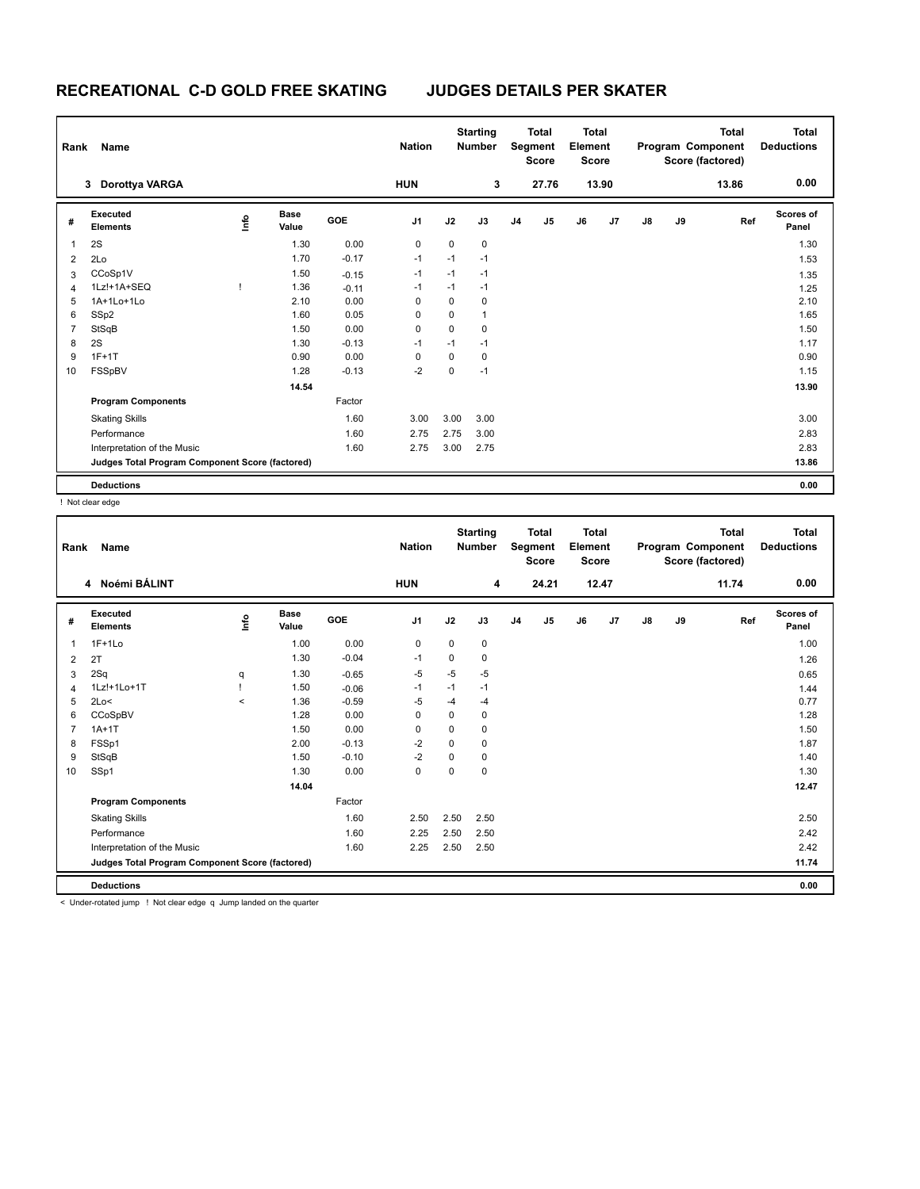| Rank           | Name                                            |             |                      |         | <b>Nation</b>  |      | <b>Starting</b><br><b>Number</b> |                | <b>Total</b><br>Segment<br><b>Score</b> | Total<br>Element<br><b>Score</b> |                |               |    | <b>Total</b><br>Program Component<br>Score (factored) | Total<br><b>Deductions</b> |
|----------------|-------------------------------------------------|-------------|----------------------|---------|----------------|------|----------------------------------|----------------|-----------------------------------------|----------------------------------|----------------|---------------|----|-------------------------------------------------------|----------------------------|
|                | Dorottya VARGA<br>3                             |             |                      |         | <b>HUN</b>     |      | 3                                |                | 27.76                                   |                                  | 13.90          |               |    | 13.86                                                 | 0.00                       |
| #              | Executed<br><b>Elements</b>                     | <u>info</u> | <b>Base</b><br>Value | GOE     | J <sub>1</sub> | J2   | J3                               | J <sub>4</sub> | J <sub>5</sub>                          | J6                               | J <sub>7</sub> | $\mathsf{J}8$ | J9 | Ref                                                   | <b>Scores of</b><br>Panel  |
| 1              | 2S                                              |             | 1.30                 | 0.00    | $\mathbf 0$    | 0    | $\mathbf 0$                      |                |                                         |                                  |                |               |    |                                                       | 1.30                       |
| $\overline{2}$ | 2Lo                                             |             | 1.70                 | $-0.17$ | $-1$           | $-1$ | $-1$                             |                |                                         |                                  |                |               |    |                                                       | 1.53                       |
| 3              | CCoSp1V                                         |             | 1.50                 | $-0.15$ | $-1$           | $-1$ | $-1$                             |                |                                         |                                  |                |               |    |                                                       | 1.35                       |
| 4              | 1Lz!+1A+SEQ                                     |             | 1.36                 | $-0.11$ | $-1$           | $-1$ | $-1$                             |                |                                         |                                  |                |               |    |                                                       | 1.25                       |
| 5              | 1A+1Lo+1Lo                                      |             | 2.10                 | 0.00    | $\mathbf 0$    | 0    | $\mathbf 0$                      |                |                                         |                                  |                |               |    |                                                       | 2.10                       |
| 6              | SSp2                                            |             | 1.60                 | 0.05    | $\Omega$       | 0    | $\mathbf{1}$                     |                |                                         |                                  |                |               |    |                                                       | 1.65                       |
| $\overline{7}$ | StSqB                                           |             | 1.50                 | 0.00    | 0              | 0    | $\mathbf 0$                      |                |                                         |                                  |                |               |    |                                                       | 1.50                       |
| 8              | 2S                                              |             | 1.30                 | $-0.13$ | $-1$           | $-1$ | $-1$                             |                |                                         |                                  |                |               |    |                                                       | 1.17                       |
| 9              | $1F+1T$                                         |             | 0.90                 | 0.00    | $\Omega$       | 0    | $\mathbf 0$                      |                |                                         |                                  |                |               |    |                                                       | 0.90                       |
| 10             | FSSpBV                                          |             | 1.28                 | $-0.13$ | $-2$           | 0    | $-1$                             |                |                                         |                                  |                |               |    |                                                       | 1.15                       |
|                |                                                 |             | 14.54                |         |                |      |                                  |                |                                         |                                  |                |               |    |                                                       | 13.90                      |
|                | <b>Program Components</b>                       |             |                      | Factor  |                |      |                                  |                |                                         |                                  |                |               |    |                                                       |                            |
|                | <b>Skating Skills</b>                           |             |                      | 1.60    | 3.00           | 3.00 | 3.00                             |                |                                         |                                  |                |               |    |                                                       | 3.00                       |
|                | Performance                                     |             |                      | 1.60    | 2.75           | 2.75 | 3.00                             |                |                                         |                                  |                |               |    |                                                       | 2.83                       |
|                | Interpretation of the Music                     |             |                      | 1.60    | 2.75           | 3.00 | 2.75                             |                |                                         |                                  |                |               |    |                                                       | 2.83                       |
|                | Judges Total Program Component Score (factored) |             |                      |         |                |      |                                  |                |                                         |                                  |                |               |    |                                                       | 13.86                      |
|                | <b>Deductions</b>                               |             |                      |         |                |      |                                  |                |                                         |                                  |                |               |    |                                                       | 0.00                       |

! Not clear edge

| Rank           | <b>Name</b>                                     |         |                      |            | <b>Nation</b>  |             | <b>Starting</b><br><b>Number</b> |                | <b>Total</b><br>Segment<br><b>Score</b> | <b>Total</b><br>Element<br><b>Score</b> |       |               |    | <b>Total</b><br>Program Component<br>Score (factored) | Total<br><b>Deductions</b> |
|----------------|-------------------------------------------------|---------|----------------------|------------|----------------|-------------|----------------------------------|----------------|-----------------------------------------|-----------------------------------------|-------|---------------|----|-------------------------------------------------------|----------------------------|
|                | 4 Noémi BÁLINT                                  |         |                      |            | <b>HUN</b>     |             | 4                                |                | 24.21                                   |                                         | 12.47 |               |    | 11.74                                                 | 0.00                       |
| #              | Executed<br><b>Elements</b>                     | ١nf٥    | <b>Base</b><br>Value | <b>GOE</b> | J <sub>1</sub> | J2          | J3                               | J <sub>4</sub> | J5                                      | J6                                      | J7    | $\mathsf{J}8$ | J9 | Ref                                                   | Scores of<br>Panel         |
| 1              | $1F+1Lo$                                        |         | 1.00                 | 0.00       | 0              | 0           | 0                                |                |                                         |                                         |       |               |    |                                                       | 1.00                       |
| $\overline{2}$ | 2T                                              |         | 1.30                 | $-0.04$    | $-1$           | 0           | 0                                |                |                                         |                                         |       |               |    |                                                       | 1.26                       |
| 3              | 2Sq                                             | q       | 1.30                 | $-0.65$    | $-5$           | $-5$        | $-5$                             |                |                                         |                                         |       |               |    |                                                       | 0.65                       |
| 4              | 1Lz!+1Lo+1T                                     |         | 1.50                 | $-0.06$    | $-1$           | $-1$        | $-1$                             |                |                                         |                                         |       |               |    |                                                       | 1.44                       |
| 5              | 2Lo<                                            | $\prec$ | 1.36                 | $-0.59$    | $-5$           | $-4$        | $-4$                             |                |                                         |                                         |       |               |    |                                                       | 0.77                       |
| 6              | CCoSpBV                                         |         | 1.28                 | 0.00       | 0              | $\mathbf 0$ | $\mathbf 0$                      |                |                                         |                                         |       |               |    |                                                       | 1.28                       |
| 7              | $1A+1T$                                         |         | 1.50                 | 0.00       | 0              | $\Omega$    | $\mathbf 0$                      |                |                                         |                                         |       |               |    |                                                       | 1.50                       |
| 8              | FSSp1                                           |         | 2.00                 | $-0.13$    | $-2$           | $\Omega$    | 0                                |                |                                         |                                         |       |               |    |                                                       | 1.87                       |
| 9              | StSqB                                           |         | 1.50                 | $-0.10$    | $-2$           | $\Omega$    | 0                                |                |                                         |                                         |       |               |    |                                                       | 1.40                       |
| 10             | SSp1                                            |         | 1.30                 | 0.00       | $\mathbf 0$    | 0           | $\mathbf 0$                      |                |                                         |                                         |       |               |    |                                                       | 1.30                       |
|                |                                                 |         | 14.04                |            |                |             |                                  |                |                                         |                                         |       |               |    |                                                       | 12.47                      |
|                | <b>Program Components</b>                       |         |                      | Factor     |                |             |                                  |                |                                         |                                         |       |               |    |                                                       |                            |
|                | <b>Skating Skills</b>                           |         |                      | 1.60       | 2.50           | 2.50        | 2.50                             |                |                                         |                                         |       |               |    |                                                       | 2.50                       |
|                | Performance                                     |         |                      | 1.60       | 2.25           | 2.50        | 2.50                             |                |                                         |                                         |       |               |    |                                                       | 2.42                       |
|                | Interpretation of the Music                     |         |                      | 1.60       | 2.25           | 2.50        | 2.50                             |                |                                         |                                         |       |               |    |                                                       | 2.42                       |
|                | Judges Total Program Component Score (factored) |         |                      |            |                |             |                                  |                |                                         |                                         |       |               |    |                                                       | 11.74                      |
|                | <b>Deductions</b>                               |         |                      |            |                |             |                                  |                |                                         |                                         |       |               |    |                                                       | 0.00                       |

< Under-rotated jump ! Not clear edge q Jump landed on the quarter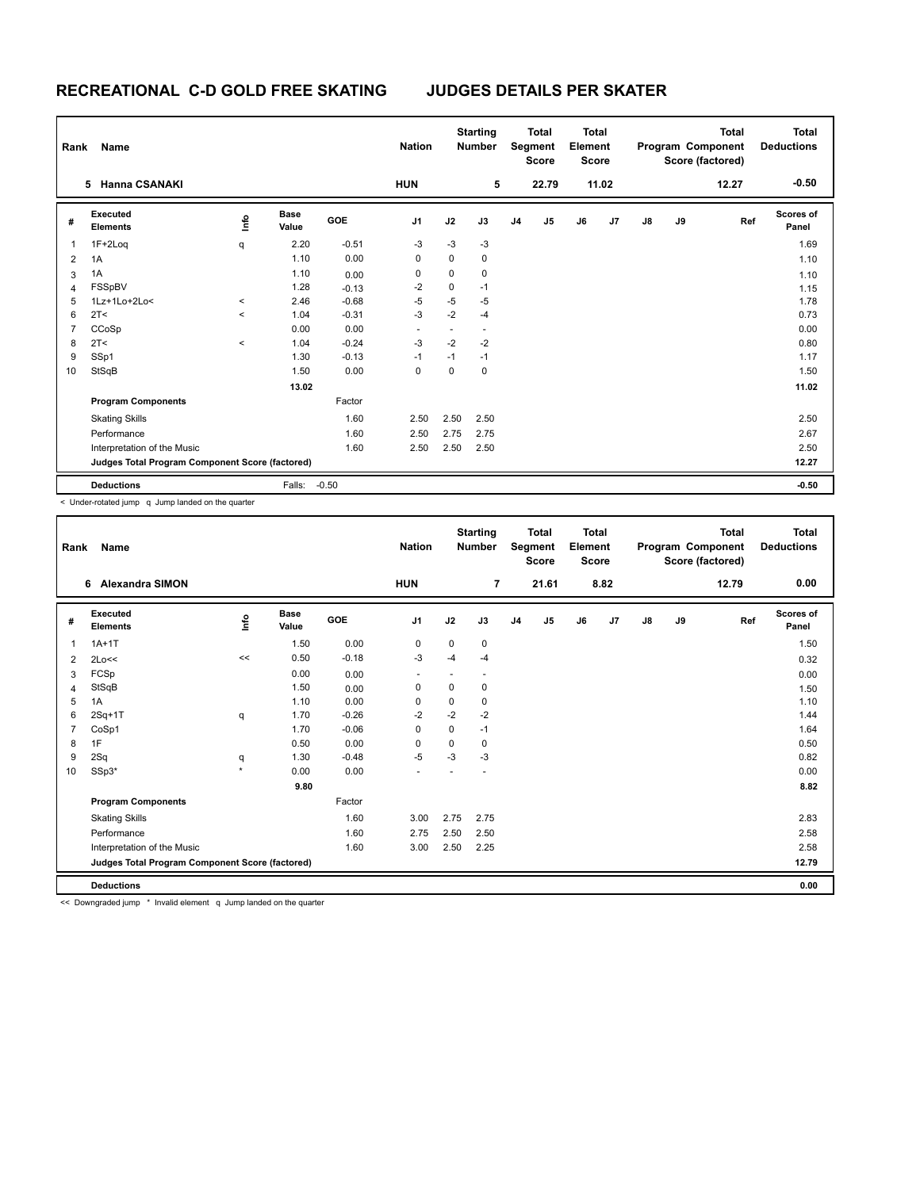| Rank           | Name                                            |         |                      |            | <b>Nation</b>  |      | <b>Starting</b><br><b>Number</b> |                | <b>Total</b><br>Segment<br><b>Score</b> | <b>Total</b><br>Element<br><b>Score</b> |       |               |    | <b>Total</b><br>Program Component<br>Score (factored) | Total<br><b>Deductions</b> |
|----------------|-------------------------------------------------|---------|----------------------|------------|----------------|------|----------------------------------|----------------|-----------------------------------------|-----------------------------------------|-------|---------------|----|-------------------------------------------------------|----------------------------|
|                | <b>Hanna CSANAKI</b><br>5.                      |         |                      |            | <b>HUN</b>     |      | 5                                |                | 22.79                                   |                                         | 11.02 |               |    | 12.27                                                 | $-0.50$                    |
| #              | Executed<br><b>Elements</b>                     | Info    | <b>Base</b><br>Value | <b>GOE</b> | J <sub>1</sub> | J2   | J3                               | J <sub>4</sub> | J <sub>5</sub>                          | J6                                      | J7    | $\mathsf{J}8$ | J9 | Ref                                                   | <b>Scores of</b><br>Panel  |
| 1              | 1F+2Loq                                         | q       | 2.20                 | $-0.51$    | $-3$           | $-3$ | $-3$                             |                |                                         |                                         |       |               |    |                                                       | 1.69                       |
| $\overline{2}$ | 1A                                              |         | 1.10                 | 0.00       | 0              | 0    | 0                                |                |                                         |                                         |       |               |    |                                                       | 1.10                       |
| 3              | 1A                                              |         | 1.10                 | 0.00       | 0              | 0    | 0                                |                |                                         |                                         |       |               |    |                                                       | 1.10                       |
| 4              | FSSpBV                                          |         | 1.28                 | $-0.13$    | $-2$           | 0    | $-1$                             |                |                                         |                                         |       |               |    |                                                       | 1.15                       |
| 5              | 1Lz+1Lo+2Lo<                                    | $\prec$ | 2.46                 | $-0.68$    | $-5$           | $-5$ | $-5$                             |                |                                         |                                         |       |               |    |                                                       | 1.78                       |
| 6              | 2T <                                            | $\prec$ | 1.04                 | $-0.31$    | $-3$           | $-2$ | $-4$                             |                |                                         |                                         |       |               |    |                                                       | 0.73                       |
| 7              | CCoSp                                           |         | 0.00                 | 0.00       | -              | ۰    | ٠                                |                |                                         |                                         |       |               |    |                                                       | 0.00                       |
| 8              | 2T <                                            | $\,<$   | 1.04                 | $-0.24$    | $-3$           | $-2$ | $-2$                             |                |                                         |                                         |       |               |    |                                                       | 0.80                       |
| 9              | SSp1                                            |         | 1.30                 | $-0.13$    | $-1$           | $-1$ | $-1$                             |                |                                         |                                         |       |               |    |                                                       | 1.17                       |
| 10             | StSqB                                           |         | 1.50                 | 0.00       | $\mathbf 0$    | 0    | $\mathbf 0$                      |                |                                         |                                         |       |               |    |                                                       | 1.50                       |
|                |                                                 |         | 13.02                |            |                |      |                                  |                |                                         |                                         |       |               |    |                                                       | 11.02                      |
|                | <b>Program Components</b>                       |         |                      | Factor     |                |      |                                  |                |                                         |                                         |       |               |    |                                                       |                            |
|                | <b>Skating Skills</b>                           |         |                      | 1.60       | 2.50           | 2.50 | 2.50                             |                |                                         |                                         |       |               |    |                                                       | 2.50                       |
|                | Performance                                     |         |                      | 1.60       | 2.50           | 2.75 | 2.75                             |                |                                         |                                         |       |               |    |                                                       | 2.67                       |
|                | Interpretation of the Music                     |         |                      | 1.60       | 2.50           | 2.50 | 2.50                             |                |                                         |                                         |       |               |    |                                                       | 2.50                       |
|                | Judges Total Program Component Score (factored) |         |                      |            |                |      |                                  |                |                                         |                                         |       |               |    |                                                       | 12.27                      |
|                | <b>Deductions</b>                               |         | Falls:               | $-0.50$    |                |      |                                  |                |                                         |                                         |       |               |    |                                                       | $-0.50$                    |

< Under-rotated jump q Jump landed on the quarter

| Rank           | Name                                            |         |                      |            | <b>Nation</b>  |      | <b>Starting</b><br><b>Number</b> |                | <b>Total</b><br>Segment<br><b>Score</b> | <b>Total</b><br>Element<br>Score |      |               |    | <b>Total</b><br>Program Component<br>Score (factored) | <b>Total</b><br><b>Deductions</b> |
|----------------|-------------------------------------------------|---------|----------------------|------------|----------------|------|----------------------------------|----------------|-----------------------------------------|----------------------------------|------|---------------|----|-------------------------------------------------------|-----------------------------------|
|                | <b>Alexandra SIMON</b><br>6                     |         |                      |            | <b>HUN</b>     |      | $\overline{7}$                   |                | 21.61                                   |                                  | 8.82 |               |    | 12.79                                                 | 0.00                              |
| #              | Executed<br><b>Elements</b>                     | Lnfo    | <b>Base</b><br>Value | <b>GOE</b> | J <sub>1</sub> | J2   | J3                               | J <sub>4</sub> | J <sub>5</sub>                          | J6                               | J7   | $\mathsf{J}8$ | J9 | Ref                                                   | <b>Scores of</b><br>Panel         |
| 1              | $1A+1T$                                         |         | 1.50                 | 0.00       | 0              | 0    | $\mathbf 0$                      |                |                                         |                                  |      |               |    |                                                       | 1.50                              |
| $\overline{2}$ | 2Lo<<                                           | <<      | 0.50                 | $-0.18$    | $-3$           | $-4$ | $-4$                             |                |                                         |                                  |      |               |    |                                                       | 0.32                              |
| 3              | FCSp                                            |         | 0.00                 | 0.00       |                |      |                                  |                |                                         |                                  |      |               |    |                                                       | 0.00                              |
| 4              | StSqB                                           |         | 1.50                 | 0.00       | 0              | 0    | $\mathbf 0$                      |                |                                         |                                  |      |               |    |                                                       | 1.50                              |
| 5              | 1A                                              |         | 1.10                 | 0.00       | 0              | 0    | 0                                |                |                                         |                                  |      |               |    |                                                       | 1.10                              |
| 6              | $2Sq+1T$                                        | q       | 1.70                 | $-0.26$    | $-2$           | $-2$ | $-2$                             |                |                                         |                                  |      |               |    |                                                       | 1.44                              |
| 7              | CoSp1                                           |         | 1.70                 | $-0.06$    | 0              | 0    | $-1$                             |                |                                         |                                  |      |               |    |                                                       | 1.64                              |
| 8              | 1F                                              |         | 0.50                 | 0.00       | 0              | 0    | 0                                |                |                                         |                                  |      |               |    |                                                       | 0.50                              |
| 9              | 2Sq                                             | q       | 1.30                 | $-0.48$    | $-5$           | $-3$ | $-3$                             |                |                                         |                                  |      |               |    |                                                       | 0.82                              |
| 10             | SSp3*                                           | $\star$ | 0.00                 | 0.00       |                |      |                                  |                |                                         |                                  |      |               |    |                                                       | 0.00                              |
|                |                                                 |         | 9.80                 |            |                |      |                                  |                |                                         |                                  |      |               |    |                                                       | 8.82                              |
|                | <b>Program Components</b>                       |         |                      | Factor     |                |      |                                  |                |                                         |                                  |      |               |    |                                                       |                                   |
|                | <b>Skating Skills</b>                           |         |                      | 1.60       | 3.00           | 2.75 | 2.75                             |                |                                         |                                  |      |               |    |                                                       | 2.83                              |
|                | Performance                                     |         |                      | 1.60       | 2.75           | 2.50 | 2.50                             |                |                                         |                                  |      |               |    |                                                       | 2.58                              |
|                | Interpretation of the Music                     |         |                      | 1.60       | 3.00           | 2.50 | 2.25                             |                |                                         |                                  |      |               |    |                                                       | 2.58                              |
|                | Judges Total Program Component Score (factored) |         |                      |            |                |      |                                  |                |                                         |                                  |      |               |    |                                                       | 12.79                             |
|                | <b>Deductions</b>                               |         |                      |            |                |      |                                  |                |                                         |                                  |      |               |    |                                                       | 0.00                              |

<< Downgraded jump \* Invalid element q Jump landed on the quarter